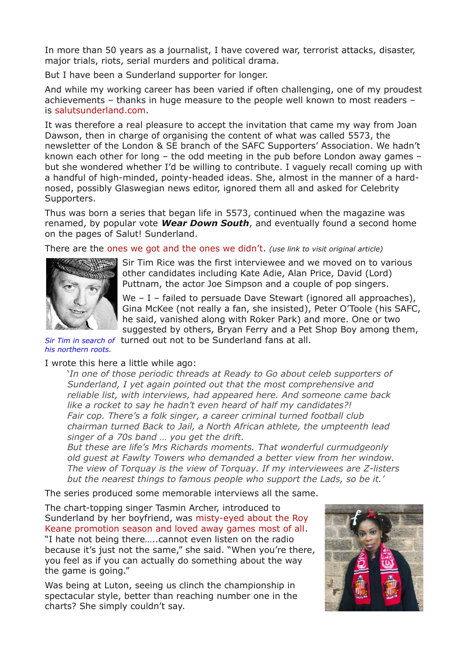In more than 50 years as a journalist, I have covered war, terrorist attacks, disaster, major trials, riots, serial murders and political drama.

But I have been a Sunderland supporter for longer.

And while my working career has been varied if often challenging, one of my proudest achievements – thanks in huge measure to the people well known to most readers – is [salutsunderland.com.](http://salutsunderland.com/)

It was therefore a real pleasure to accept the invitation that came my way from Joan Dawson, then in charge of organising the content of what was called 5573, the newsletter of the London & SE branch of the SAFC Supporters' Association. We hadn't known each other for long – the odd meeting in the pub before London away games – but she wondered whether I'd be willing to contribute. I vaguely recall coming up with a handful of high-minded, pointy-headed ideas. She, almost in the manner of a hardnosed, possibly Glaswegian news editor, ignored them all and asked for Celebrity Supporters.

Thus was born a series that began life in 5573, continued when the magazine was renamed, by popular vote *Wear Down South*, and eventually found a second home on the pages of Salut! Sunderland.

There are the [ones we got and the ones we didn't.](http://salutsunderland.com/2007/06/the-celebs-we-cornered-and-the-ones-we-didnt/) *(use link to visit original article)*



Sir Tim Rice was the first interviewee and we moved on to various other candidates including Kate Adie, Alan Price, David (Lord) Puttnam, the actor Joe Simpson and a couple of pop singers.

We – I – failed to persuade Dave Stewart (ignored all approaches), Gina McKee (not really a fan, she insisted), Peter O'Toole (his SAFC, he said, vanished along with Roker Park) and more. One or two suggested by others, Bryan Ferry and a Pet Shop Boy among them,

*Sir Tim in search of* turned out not to be Sunderland fans at all. *his northern roots.*

## I wrote this here a little while ago:

'*In one of those periodic threads at Ready to Go about celeb supporters of Sunderland, I yet again pointed out that the most comprehensive and reliable list, with interviews, had appeared here. And someone came back like a rocket to say he hadn't even heard of half my candidates?! Fair cop. There's a folk singer, a career criminal turned football club chairman turned Back to Jail, a North African athlete, the umpteenth lead singer of a 70s band … you get the drift.*

*But these are life's Mrs Richards moments. That wonderful curmudgeonly old guest at Fawlty Towers who demanded a better view from her window. The view of Torquay is the view of Torquay. If my interviewees are Z-listers but the nearest things to famous people who support the Lads, so be it.'*

The series produced some memorable interviews all the same.

The chart-topping singer Tasmin Archer, introduced to Sunderland by her boyfriend, was [misty-eyed about the Roy](http://salutsunderland.com/2007/06/tasmin-archers-everyday-story-of-sunderland-supporting-folk/) [Keane promotion season and loved away games most of all.](http://salutsunderland.com/2007/06/tasmin-archers-everyday-story-of-sunderland-supporting-folk/) "I hate not being there…..cannot even listen on the radio because it's just not the same," she said. "When you're there, you feel as if you can actually do something about the way the game is going."

Was being at Luton, seeing us clinch the championship in spectacular style, better than reaching number one in the charts? She simply couldn't say.